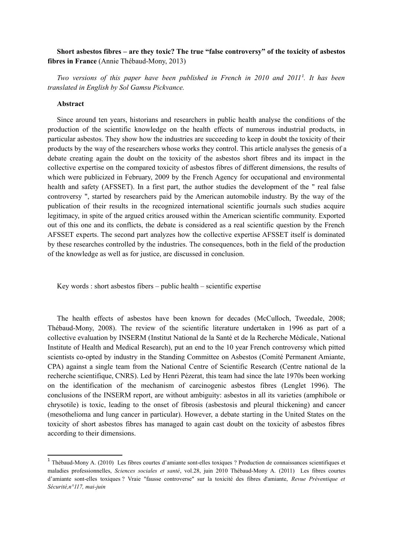# **Short asbestos fibres – are they toxic? The true "false controversy" of the toxicity of asbestos fibres in France** (Annie Thébaud-Mony, 2013)

*Two versions of this paper have been published in French in 2010 and 2011[1](#page-0-0) . It has been translated in English by Sol Gamsu Pickvance.*

#### **Abstract**

Since around ten years, historians and researchers in public health analyse the conditions of the production of the scientific knowledge on the health effects of numerous industrial products, in particular asbestos. They show how the industries are succeeding to keep in doubt the toxicity of their products by the way of the researchers whose works they control. This article analyses the genesis of a debate creating again the doubt on the toxicity of the asbestos short fibres and its impact in the collective expertise on the compared toxicity of asbestos fibres of different dimensions, the results of which were publicized in February, 2009 by the French Agency for occupational and environmental health and safety (AFSSET). In a first part, the author studies the development of the " real false controversy ", started by researchers paid by the American automobile industry. By the way of the publication of their results in the recognized international scientific journals such studies acquire legitimacy, in spite of the argued critics aroused within the American scientific community. Exported out of this one and its conflicts, the debate is considered as a real scientific question by the French AFSSET experts. The second part analyzes how the collective expertise AFSSET itself is dominated by these researches controlled by the industries. The consequences, both in the field of the production of the knowledge as well as for justice, are discussed in conclusion.

Key words : short asbestos fibers – public health – scientific expertise

The health effects of asbestos have been known for decades (McCulloch, Tweedale, 2008; Thébaud-Mony, 2008). The review of the scientific literature undertaken in 1996 as part of a collective evaluation by INSERM (Institut National de la Santé et de la Recherche Médicale, National Institute of Health and Medical Research), put an end to the 10 year French controversy which pitted scientists co-opted by industry in the Standing Committee on Asbestos (Comité Permanent Amiante, CPA) against a single team from the National Centre of Scientific Research (Centre national de la recherche scientifique, CNRS). Led by Henri Pézerat, this team had since the late 1970s been working on the identification of the mechanism of carcinogenic asbestos fibres (Lenglet 1996). The conclusions of the INSERM report, are without ambiguity: asbestos in all its varieties (amphibole or chrysotile) is toxic, leading to the onset of fibrosis (asbestosis and pleural thickening) and cancer (mesothelioma and lung cancer in particular). However, a debate starting in the United States on the toxicity of short asbestos fibres has managed to again cast doubt on the toxicity of asbestos fibres according to their dimensions.

<span id="page-0-0"></span><sup>&</sup>lt;sup>1</sup> Thébaud-Mony A. (2010) Les fibres courtes d'amiante sont-elles toxiques ? Production de connaissances scientifiques et maladies professionnelles, *Sciences sociales et santé*, vol.28, juin 2010 Thébaud-Mony A. (2011) Les fibres courtes d'amiante sont-elles toxiques ? Vraie "fausse controverse" sur la toxicité des fibres d'amiante, *Revue Préventique et Sécurité,n°117, mai-juin*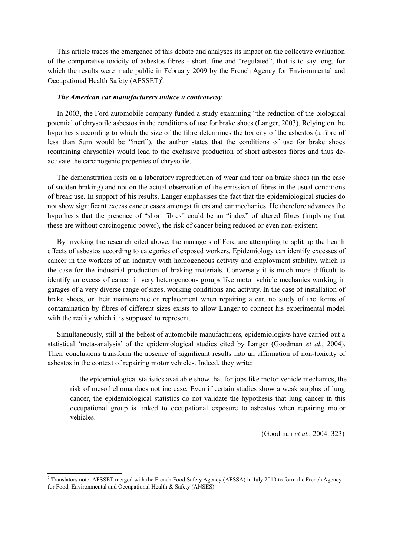This article traces the emergence of this debate and analyses its impact on the collective evaluation of the comparative toxicity of asbestos fibres - short, fine and "regulated", that is to say long, for which the results were made public in February 2009 by the French Agency for Environmental and Occupational Health Safety (AFSSET)<sup>[2](#page-1-0)</sup>.

### *The American car manufacturers induce a controversy*

In 2003, the Ford automobile company funded a study examining "the reduction of the biological potential of chrysotile asbestos in the conditions of use for brake shoes (Langer, 2003). Relying on the hypothesis according to which the size of the fibre determines the toxicity of the asbestos (a fibre of less than 5µm would be "inert"), the author states that the conditions of use for brake shoes (containing chrysotile) would lead to the exclusive production of short asbestos fibres and thus deactivate the carcinogenic properties of chrysotile.

The demonstration rests on a laboratory reproduction of wear and tear on brake shoes (in the case of sudden braking) and not on the actual observation of the emission of fibres in the usual conditions of break use. In support of his results, Langer emphasises the fact that the epidemiological studies do not show significant excess cancer cases amongst fitters and car mechanics. He therefore advances the hypothesis that the presence of "short fibres" could be an "index" of altered fibres (implying that these are without carcinogenic power), the risk of cancer being reduced or even non-existent.

By invoking the research cited above, the managers of Ford are attempting to split up the health effects of asbestos according to categories of exposed workers. Epidemiology can identify excesses of cancer in the workers of an industry with homogeneous activity and employment stability, which is the case for the industrial production of braking materials. Conversely it is much more difficult to identify an excess of cancer in very heterogeneous groups like motor vehicle mechanics working in garages of a very diverse range of sizes, working conditions and activity. In the case of installation of brake shoes, or their maintenance or replacement when repairing a car, no study of the forms of contamination by fibres of different sizes exists to allow Langer to connect his experimental model with the reality which it is supposed to represent.

Simultaneously, still at the behest of automobile manufacturers, epidemiologists have carried out a statistical 'meta-analysis' of the epidemiological studies cited by Langer (Goodman *et al.*, 2004). Their conclusions transform the absence of significant results into an affirmation of non-toxicity of asbestos in the context of repairing motor vehicles. Indeed, they write:

the epidemiological statistics available show that for jobs like motor vehicle mechanics, the risk of mesothelioma does not increase. Even if certain studies show a weak surplus of lung cancer, the epidemiological statistics do not validate the hypothesis that lung cancer in this occupational group is linked to occupational exposure to asbestos when repairing motor vehicles.

(Goodman *et al.*, 2004: 323)

<span id="page-1-0"></span><sup>&</sup>lt;sup>2</sup> Translators note: AFSSET merged with the French Food Safety Agency (AFSSA) in July 2010 to form the French Agency for Food, Environmental and Occupational Health & Safety (ANSES).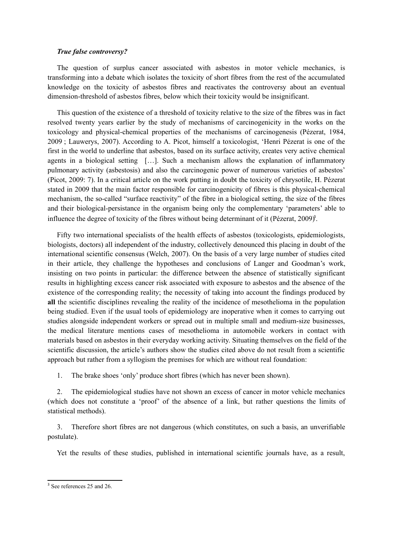## *True false controversy?*

The question of surplus cancer associated with asbestos in motor vehicle mechanics, is transforming into a debate which isolates the toxicity of short fibres from the rest of the accumulated knowledge on the toxicity of asbestos fibres and reactivates the controversy about an eventual dimension-threshold of asbestos fibres, below which their toxicity would be insignificant.

This question of the existence of a threshold of toxicity relative to the size of the fibres was in fact resolved twenty years earlier by the study of mechanisms of carcinogenicity in the works on the toxicology and physical-chemical properties of the mechanisms of carcinogenesis (Pézerat, 1984, 2009 ; Lauwerys, 2007). According to A. Picot, himself a toxicologist, 'Henri Pézerat is one of the first in the world to underline that asbestos, based on its surface activity, creates very active chemical agents in a biological setting […]. Such a mechanism allows the explanation of inflammatory pulmonary activity (asbestosis) and also the carcinogenic power of numerous varieties of asbestos' (Picot, 2009: 7). In a critical article on the work putting in doubt the toxicity of chrysotile, H. Pézerat stated in 2009 that the main factor responsible for carcinogenicity of fibres is this physical-chemical mechanism, the so-called "surface reactivity" of the fibre in a biological setting, the size of the fibres and their biological-persistance in the organism being only the complementary 'parameters' able to influence the degree of toxicity of the fibres without being determinant of it (Pézerat, 2009[\)](#page-2-0)<sup>3</sup>.

Fifty two international specialists of the health effects of asbestos (toxicologists, epidemiologists, biologists, doctors) all independent of the industry, collectively denounced this placing in doubt of the international scientific consensus (Welch, 2007). On the basis of a very large number of studies cited in their article, they challenge the hypotheses and conclusions of Langer and Goodman's work, insisting on two points in particular: the difference between the absence of statistically significant results in highlighting excess cancer risk associated with exposure to asbestos and the absence of the existence of the corresponding reality; the necessity of taking into account the findings produced by **all** the scientific disciplines revealing the reality of the incidence of mesothelioma in the population being studied. Even if the usual tools of epidemiology are inoperative when it comes to carrying out studies alongside independent workers or spread out in multiple small and medium-size businesses, the medical literature mentions cases of mesothelioma in automobile workers in contact with materials based on asbestos in their everyday working activity. Situating themselves on the field of the scientific discussion, the article's authors show the studies cited above do not result from a scientific approach but rather from a syllogism the premises for which are without real foundation:

1. The brake shoes 'only' produce short fibres (which has never been shown).

2. The epidemiological studies have not shown an excess of cancer in motor vehicle mechanics (which does not constitute a 'proof' of the absence of a link, but rather questions the limits of statistical methods).

3. Therefore short fibres are not dangerous (which constitutes, on such a basis, an unverifiable postulate).

Yet the results of these studies, published in international scientific journals have, as a result,

<span id="page-2-0"></span><sup>&</sup>lt;sup>3</sup> See references 25 and 26.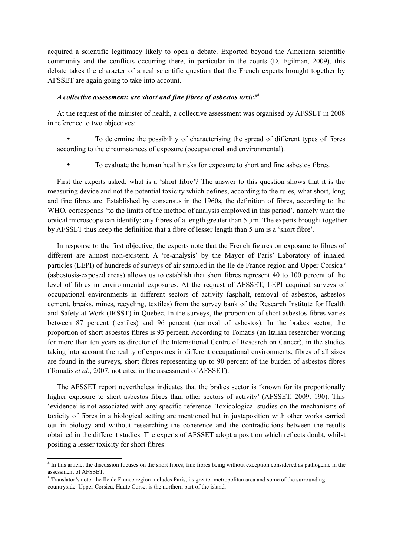acquired a scientific legitimacy likely to open a debate. Exported beyond the American scientific community and the conflicts occurring there, in particular in the courts (D. Egilman, 2009), this debate takes the character of a real scientific question that the French experts brought together by AFSSET are again going to take into account.

## *A collective assessment: are short and fine fibres of asbestos toxic?[4](#page-3-0)*

At the request of the minister of health, a collective assessment was organised by AFSSET in 2008 in reference to two objectives:

• To determine the possibility of characterising the spread of different types of fibres according to the circumstances of exposure (occupational and environmental).

• To evaluate the human health risks for exposure to short and fine asbestos fibres.

First the experts asked: what is a 'short fibre'? The answer to this question shows that it is the measuring device and not the potential toxicity which defines, according to the rules, what short, long and fine fibres are. Established by consensus in the 1960s, the definition of fibres, according to the WHO, corresponds 'to the limits of the method of analysis employed in this period', namely what the optical microscope can identify: any fibres of a length greater than 5 µm. The experts brought together by AFSSET thus keep the definition that a fibre of lesser length than 5 µm is a 'short fibre'.

In response to the first objective, the experts note that the French figures on exposure to fibres of different are almost non-existent. A 're-analysis' by the Mayor of Paris' Laboratory of inhaled particles (LEPI) of hundreds of surveys of air sampled in the Ile de France region and Upper Corsica [5](#page-3-1) (asbestosis-exposed areas) allows us to establish that short fibres represent 40 to 100 percent of the level of fibres in environmental exposures. At the request of AFSSET, LEPI acquired surveys of occupational environments in different sectors of activity (asphalt, removal of asbestos, asbestos cement, breaks, mines, recycling, textiles) from the survey bank of the Research Institute for Health and Safety at Work (IRSST) in Quebec. In the surveys, the proportion of short asbestos fibres varies between 87 percent (textiles) and 96 percent (removal of asbestos). In the brakes sector, the proportion of short asbestos fibres is 93 percent. According to Tomatis (an Italian researcher working for more than ten years as director of the International Centre of Research on Cancer), in the studies taking into account the reality of exposures in different occupational environments, fibres of all sizes are found in the surveys, short fibres representing up to 90 percent of the burden of asbestos fibres (Tomatis *et al.*, 2007, not cited in the assessment of AFSSET).

The AFSSET report nevertheless indicates that the brakes sector is 'known for its proportionally higher exposure to short asbestos fibres than other sectors of activity' (AFSSET, 2009: 190). This 'evidence' is not associated with any specific reference. Toxicological studies on the mechanisms of toxicity of fibres in a biological setting are mentioned but in juxtaposition with other works carried out in biology and without researching the coherence and the contradictions between the results obtained in the different studies. The experts of AFSSET adopt a position which reflects doubt, whilst positing a lesser toxicity for short fibres:

<span id="page-3-0"></span><sup>&</sup>lt;sup>4</sup> In this article, the discussion focuses on the short fibres, fine fibres being without exception considered as pathogenic in the assessment of AFSSET.

<span id="page-3-1"></span><sup>&</sup>lt;sup>5</sup> Translator's note: the Ile de France region includes Paris, its greater metropolitan area and some of the surrounding countryside. Upper Corsica, Haute Corse, is the northern part of the island.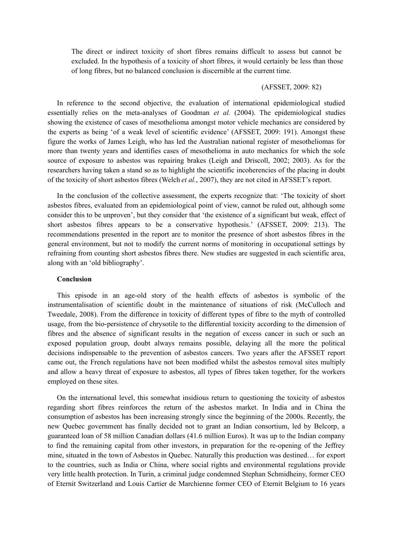The direct or indirect toxicity of short fibres remains difficult to assess but cannot be excluded. In the hypothesis of a toxicity of short fibres, it would certainly be less than those of long fibres, but no balanced conclusion is discernible at the current time.

## (AFSSET, 2009: 82)

In reference to the second objective, the evaluation of international epidemiological studied essentially relies on the meta-analyses of Goodman *et al.* (2004). The epidemiological studies showing the existence of cases of mesothelioma amongst motor vehicle mechanics are considered by the experts as being 'of a weak level of scientific evidence' (AFSSET, 2009: 191). Amongst these figure the works of James Leigh, who has led the Australian national register of mesotheliomas for more than twenty years and identifies cases of mesothelioma in auto mechanics for which the sole source of exposure to asbestos was repairing brakes (Leigh and Driscoll, 2002; 2003). As for the researchers having taken a stand so as to highlight the scientific incoherencies of the placing in doubt of the toxicity of short asbestos fibres (Welch *et al.*, 2007), they are not cited in AFSSET's report.

In the conclusion of the collective assessment, the experts recognize that: 'The toxicity of short asbestos fibres, evaluated from an epidemiological point of view, cannot be ruled out, although some consider this to be unproven', but they consider that 'the existence of a significant but weak, effect of short asbestos fibres appears to be a conservative hypothesis.' (AFSSET, 2009: 213). The recommendations presented in the report are to monitor the presence of short asbestos fibres in the general environment, but not to modify the current norms of monitoring in occupational settings by refraining from counting short asbestos fibres there. New studies are suggested in each scientific area, along with an 'old bibliography'.

### **Conclusion**

This episode in an age-old story of the health effects of asbestos is symbolic of the instrumentalisation of scientific doubt in the maintenance of situations of risk (McCulloch and Tweedale, 2008). From the difference in toxicity of different types of fibre to the myth of controlled usage, from the bio-persistence of chrysotile to the differential toxicity according to the dimension of fibres and the absence of significant results in the negation of excess cancer in such or such an exposed population group, doubt always remains possible, delaying all the more the political decisions indispensable to the prevention of asbestos cancers. Two years after the AFSSET report came out, the French regulations have not been modified whilst the asbestos removal sites multiply and allow a heavy threat of exposure to asbestos, all types of fibres taken together, for the workers employed on these sites.

On the international level, this somewhat insidious return to questioning the toxicity of asbestos regarding short fibres reinforces the return of the asbestos market. In India and in China the consumption of asbestos has been increasing strongly since the beginning of the 2000s. Recently, the new Quebec government has finally decided not to grant an Indian consortium, led by Belcorp, a guaranteed loan of 58 million Canadian dollars (41.6 million Euros). It was up to the Indian company to find the remaining capital from other investors, in preparation for the re-opening of the Jeffrey mine, situated in the town of Asbestos in Quebec. Naturally this production was destined… for export to the countries, such as India or China, where social rights and environmental regulations provide very little health protection. In Turin, a criminal judge condemned Stephan Schmidheiny, former CEO of Eternit Switzerland and Louis Cartier de Marchienne former CEO of Eternit Belgium to 16 years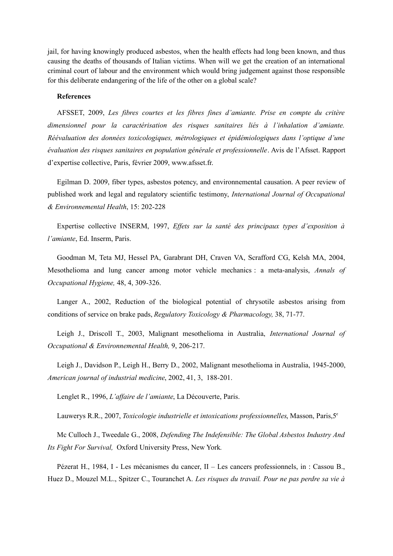jail, for having knowingly produced asbestos, when the health effects had long been known, and thus causing the deaths of thousands of Italian victims. When will we get the creation of an international criminal court of labour and the environment which would bring judgement against those responsible for this deliberate endangering of the life of the other on a global scale?

## **References**

AFSSET, 2009, *Les fibres courtes et les fibres fines d'amiante. Prise en compte du critère dimensionnel pour la caractérisation des risques sanitaires liés à l'inhalation d'amiante. Réévaluation des données toxicologiques, métrologiques et épidémiologiques dans l'optique d'une évaluation des risques sanitaires en population générale et professionnelle*. Avis de l'Afsset. Rapport d'expertise collective, Paris, février 2009, www.afsset.fr.

Egilman D. 2009, fiber types, asbestos potency, and environnemental causation. A peer review of published work and legal and regulatory scientific testimony, *International Journal of Occupational & Environnemental Health*, 15: 202-228

Expertise collective INSERM, 1997, *Effets sur la santé des principaux types d'exposition à l'amiante*, Ed. Inserm, Paris.

Goodman M, Teta MJ, Hessel PA, Garabrant DH, Craven VA, Scrafford CG, Kelsh MA, 2004, Mesothelioma and lung cancer among motor vehicle mechanics : a meta-analysis, *Annals of Occupational Hygiene,* 48, 4, 309-326.

Langer A., 2002, Reduction of the biological potential of chrysotile asbestos arising from conditions of service on brake pads, *Regulatory Toxicology & Pharmacology,* 38, 71-77.

Leigh J., Driscoll T., 2003, Malignant mesothelioma in Australia, *International Journal of Occupational & Environnemental Health,* 9, 206-217.

Leigh J., Davidson P., Leigh H., Berry D., 2002, Malignant mesothelioma in Australia, 1945-2000, *American journal of industrial medicine*, 2002, 41, 3, 188-201.

Lenglet R., 1996, *L'affaire de l'amiante*, La Découverte, Paris.

Lauwerys R.R., 2007, *Toxicologie industrielle et intoxications professionnelles*, Masson, Paris,5<sup>e</sup>

Mc Culloch J., Tweedale G., 2008, *Defending The Indefensible: The Global Asbestos Industry And Its Fight For Survival,* Oxford University Press, New York*.*

Pézerat H., 1984, I - Les mécanismes du cancer, II – Les cancers professionnels, in : Cassou B., Huez D., Mouzel M.L., Spitzer C., Touranchet A. *Les risques du travail. Pour ne pas perdre sa vie à*